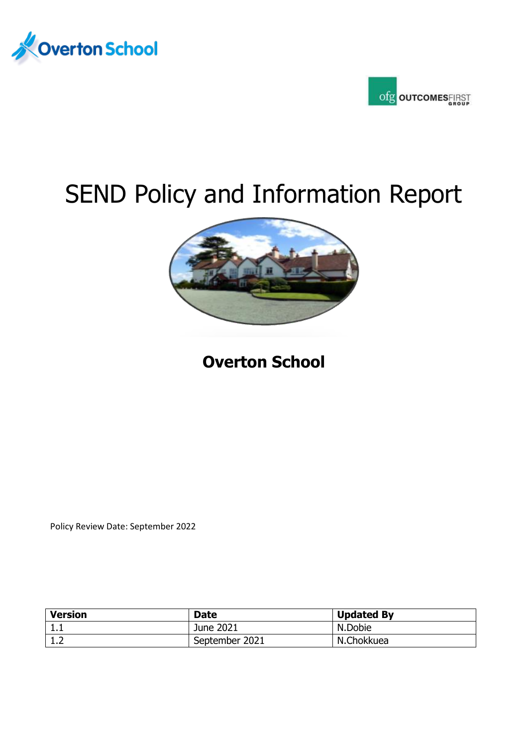



# SEND Policy and Information Report



# **Overton School**

Policy Review Date: September 2022

| <b>Version</b> | <b>Date</b>    | <b>Updated By</b> |
|----------------|----------------|-------------------|
| ᆠᇵ             | June 2021      | N.Dobie           |
| ∸∙             | September 2021 | N.Chokkuea        |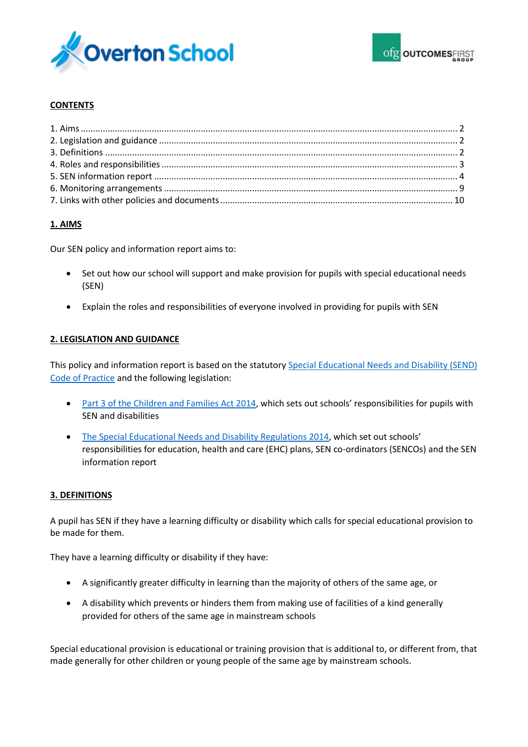

### **CONTENTS**

# **1. AIMS**

Our SEN policy and information report aims to:

- Set out how our school will support and make provision for pupils with special educational needs (SEN)
- Explain the roles and responsibilities of everyone involved in providing for pupils with SEN

#### **2. LEGISLATION AND GUIDANCE**

This policy and information report is based on the statutory [Special Educational Needs and Disability \(SEND\)](https://www.gov.uk/government/uploads/system/uploads/attachment_data/file/398815/SEND_Code_of_Practice_January_2015.pdf)  [Code of Practice](https://www.gov.uk/government/uploads/system/uploads/attachment_data/file/398815/SEND_Code_of_Practice_January_2015.pdf) and the following legislation:

- [Part 3 of the Children and Families Act 2014,](http://www.legislation.gov.uk/ukpga/2014/6/part/3) which sets out schools' responsibilities for pupils with SEN and disabilities
- [The Special Educational Needs and Disability Regulations 2014](http://www.legislation.gov.uk/uksi/2014/1530/contents/made), which set out schools' responsibilities for education, health and care (EHC) plans, SEN co-ordinators (SENCOs) and the SEN information report

#### **3. DEFINITIONS**

A pupil has SEN if they have a learning difficulty or disability which calls for special educational provision to be made for them.

They have a learning difficulty or disability if they have:

- A significantly greater difficulty in learning than the majority of others of the same age, or
- A disability which prevents or hinders them from making use of facilities of a kind generally provided for others of the same age in mainstream schools

Special educational provision is educational or training provision that is additional to, or different from, that made generally for other children or young people of the same age by mainstream schools.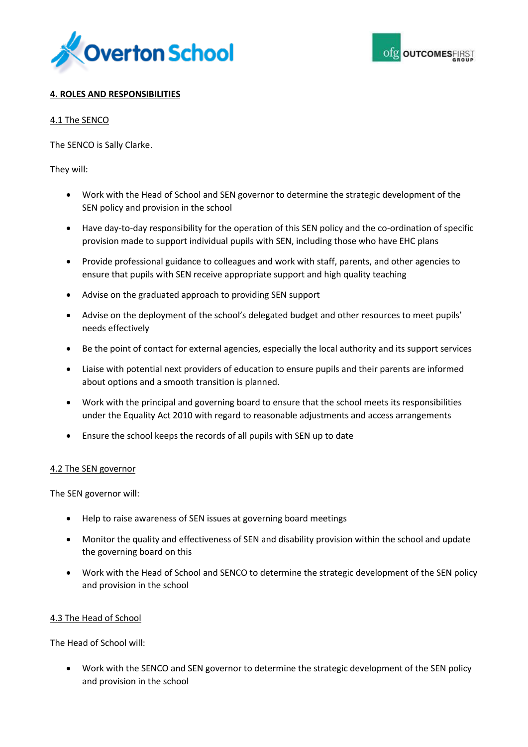



## **4. ROLES AND RESPONSIBILITIES**

#### 4.1 The SENCO

The SENCO is Sally Clarke.

They will:

- Work with the Head of School and SEN governor to determine the strategic development of the SEN policy and provision in the school
- Have day-to-day responsibility for the operation of this SEN policy and the co-ordination of specific provision made to support individual pupils with SEN, including those who have EHC plans
- Provide professional guidance to colleagues and work with staff, parents, and other agencies to ensure that pupils with SEN receive appropriate support and high quality teaching
- Advise on the graduated approach to providing SEN support
- Advise on the deployment of the school's delegated budget and other resources to meet pupils' needs effectively
- Be the point of contact for external agencies, especially the local authority and its support services
- Liaise with potential next providers of education to ensure pupils and their parents are informed about options and a smooth transition is planned.
- Work with the principal and governing board to ensure that the school meets its responsibilities under the Equality Act 2010 with regard to reasonable adjustments and access arrangements
- Ensure the school keeps the records of all pupils with SEN up to date

#### 4.2 The SEN governor

The SEN governor will:

- Help to raise awareness of SEN issues at governing board meetings
- Monitor the quality and effectiveness of SEN and disability provision within the school and update the governing board on this
- Work with the Head of School and SENCO to determine the strategic development of the SEN policy and provision in the school

#### 4.3 The Head of School

The Head of School will:

 Work with the SENCO and SEN governor to determine the strategic development of the SEN policy and provision in the school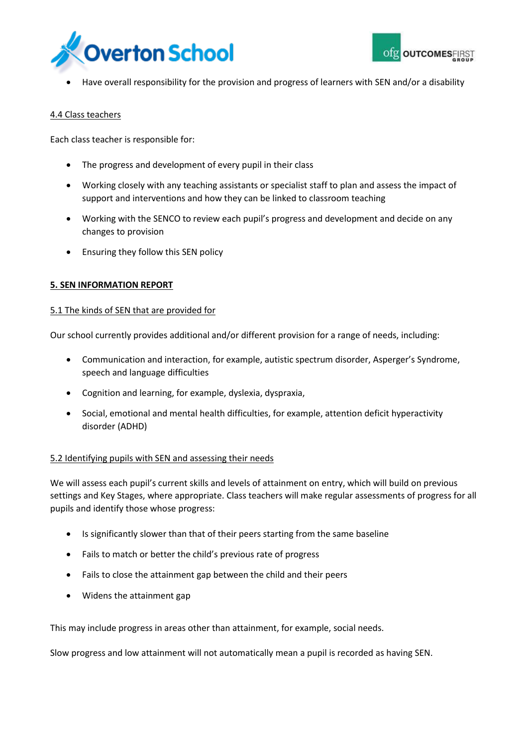



Have overall responsibility for the provision and progress of learners with SEN and/or a disability

#### 4.4 Class teachers

Each class teacher is responsible for:

- The progress and development of every pupil in their class
- Working closely with any teaching assistants or specialist staff to plan and assess the impact of support and interventions and how they can be linked to classroom teaching
- Working with the SENCO to review each pupil's progress and development and decide on any changes to provision
- Ensuring they follow this SEN policy

#### **5. SEN INFORMATION REPORT**

#### 5.1 The kinds of SEN that are provided for

Our school currently provides additional and/or different provision for a range of needs, including:

- Communication and interaction, for example, autistic spectrum disorder, Asperger's Syndrome, speech and language difficulties
- Cognition and learning, for example, dyslexia, dyspraxia,
- Social, emotional and mental health difficulties, for example, attention deficit hyperactivity disorder (ADHD)

#### 5.2 Identifying pupils with SEN and assessing their needs

We will assess each pupil's current skills and levels of attainment on entry, which will build on previous settings and Key Stages, where appropriate. Class teachers will make regular assessments of progress for all pupils and identify those whose progress:

- Is significantly slower than that of their peers starting from the same baseline
- Fails to match or better the child's previous rate of progress
- Fails to close the attainment gap between the child and their peers
- Widens the attainment gap

This may include progress in areas other than attainment, for example, social needs.

Slow progress and low attainment will not automatically mean a pupil is recorded as having SEN.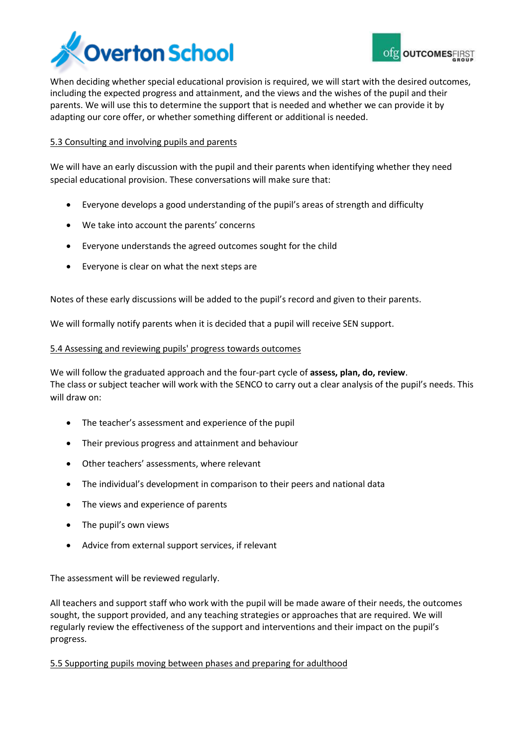



When deciding whether special educational provision is required, we will start with the desired outcomes, including the expected progress and attainment, and the views and the wishes of the pupil and their parents. We will use this to determine the support that is needed and whether we can provide it by adapting our core offer, or whether something different or additional is needed.

#### 5.3 Consulting and involving pupils and parents

We will have an early discussion with the pupil and their parents when identifying whether they need special educational provision. These conversations will make sure that:

- Everyone develops a good understanding of the pupil's areas of strength and difficulty
- We take into account the parents' concerns
- Everyone understands the agreed outcomes sought for the child
- Everyone is clear on what the next steps are

Notes of these early discussions will be added to the pupil's record and given to their parents.

We will formally notify parents when it is decided that a pupil will receive SEN support.

#### 5.4 Assessing and reviewing pupils' progress towards outcomes

We will follow the graduated approach and the four-part cycle of **assess, plan, do, review**. The class or subject teacher will work with the SENCO to carry out a clear analysis of the pupil's needs. This will draw on:

- The teacher's assessment and experience of the pupil
- Their previous progress and attainment and behaviour
- Other teachers' assessments, where relevant
- The individual's development in comparison to their peers and national data
- The views and experience of parents
- The pupil's own views
- Advice from external support services, if relevant

The assessment will be reviewed regularly.

All teachers and support staff who work with the pupil will be made aware of their needs, the outcomes sought, the support provided, and any teaching strategies or approaches that are required. We will regularly review the effectiveness of the support and interventions and their impact on the pupil's progress.

5.5 Supporting pupils moving between phases and preparing for adulthood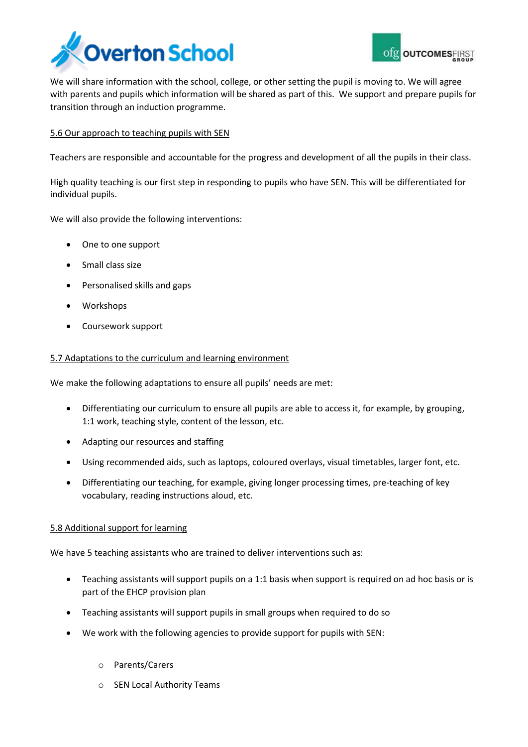



We will share information with the school, college, or other setting the pupil is moving to. We will agree with parents and pupils which information will be shared as part of this. We support and prepare pupils for transition through an induction programme.

#### 5.6 Our approach to teaching pupils with SEN

Teachers are responsible and accountable for the progress and development of all the pupils in their class.

High quality teaching is our first step in responding to pupils who have SEN. This will be differentiated for individual pupils.

We will also provide the following interventions:

- One to one support
- Small class size
- Personalised skills and gaps
- Workshops
- Coursework support

#### 5.7 Adaptations to the curriculum and learning environment

We make the following adaptations to ensure all pupils' needs are met:

- Differentiating our curriculum to ensure all pupils are able to access it, for example, by grouping, 1:1 work, teaching style, content of the lesson, etc.
- Adapting our resources and staffing
- Using recommended aids, such as laptops, coloured overlays, visual timetables, larger font, etc.
- Differentiating our teaching, for example, giving longer processing times, pre-teaching of key vocabulary, reading instructions aloud, etc.

#### 5.8 Additional support for learning

We have 5 teaching assistants who are trained to deliver interventions such as:

- Teaching assistants will support pupils on a 1:1 basis when support is required on ad hoc basis or is part of the EHCP provision plan
- Teaching assistants will support pupils in small groups when required to do so
- We work with the following agencies to provide support for pupils with SEN:
	- o Parents/Carers
	- o SEN Local Authority Teams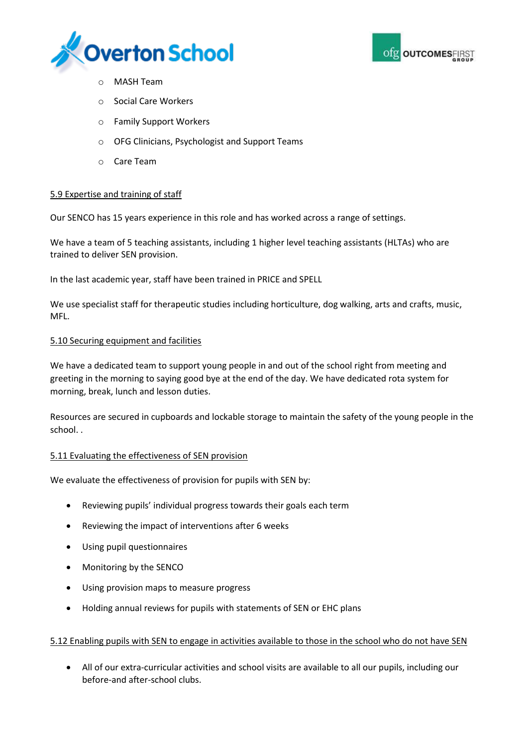



- o MASH Team
- **Social Care Workers**
- o Family Support Workers
- o OFG Clinicians, Psychologist and Support Teams
- o Care Team

#### 5.9 Expertise and training of staff

Our SENCO has 15 years experience in this role and has worked across a range of settings.

We have a team of 5 teaching assistants, including 1 higher level teaching assistants (HLTAs) who are trained to deliver SEN provision.

In the last academic year, staff have been trained in PRICE and SPELL

We use specialist staff for therapeutic studies including horticulture, dog walking, arts and crafts, music, MFL.

#### 5.10 Securing equipment and facilities

We have a dedicated team to support young people in and out of the school right from meeting and greeting in the morning to saying good bye at the end of the day. We have dedicated rota system for morning, break, lunch and lesson duties.

Resources are secured in cupboards and lockable storage to maintain the safety of the young people in the school. .

#### 5.11 Evaluating the effectiveness of SEN provision

We evaluate the effectiveness of provision for pupils with SEN by:

- Reviewing pupils' individual progress towards their goals each term
- Reviewing the impact of interventions after 6 weeks
- Using pupil questionnaires
- Monitoring by the SENCO
- Using provision maps to measure progress
- Holding annual reviews for pupils with statements of SEN or EHC plans

#### 5.12 Enabling pupils with SEN to engage in activities available to those in the school who do not have SEN

 All of our extra-curricular activities and school visits are available to all our pupils, including our before-and after-school clubs.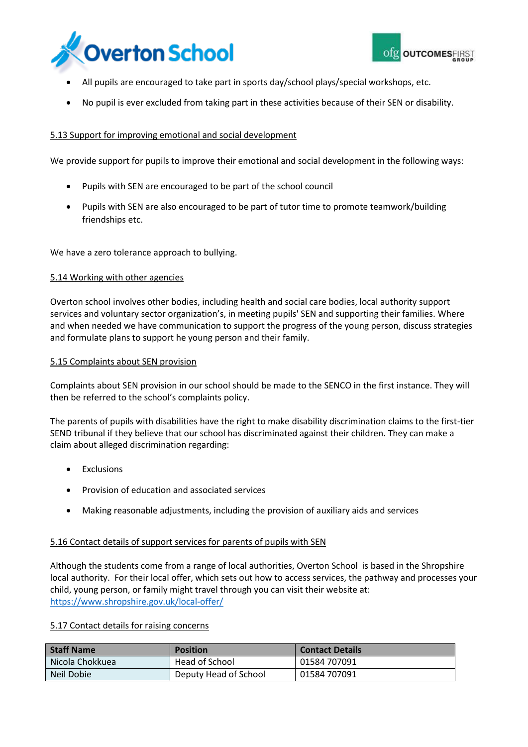



- All pupils are encouraged to take part in sports day/school plays/special workshops, etc.
- No pupil is ever excluded from taking part in these activities because of their SEN or disability.

#### 5.13 Support for improving emotional and social development

We provide support for pupils to improve their emotional and social development in the following ways:

- Pupils with SEN are encouraged to be part of the school council
- Pupils with SEN are also encouraged to be part of tutor time to promote teamwork/building friendships etc.

We have a zero tolerance approach to bullying.

#### 5.14 Working with other agencies

Overton school involves other bodies, including health and social care bodies, local authority support services and voluntary sector organization's, in meeting pupils' SEN and supporting their families. Where and when needed we have communication to support the progress of the young person, discuss strategies and formulate plans to support he young person and their family.

#### 5.15 Complaints about SEN provision

Complaints about SEN provision in our school should be made to the SENCO in the first instance. They will then be referred to the school's complaints policy.

The parents of pupils with disabilities have the right to make disability discrimination claims to the first-tier SEND tribunal if they believe that our school has discriminated against their children. They can make a claim about alleged discrimination regarding:

- Exclusions
- Provision of education and associated services
- Making reasonable adjustments, including the provision of auxiliary aids and services

#### 5.16 Contact details of support services for parents of pupils with SEN

Although the students come from a range of local authorities, Overton School is based in the Shropshire local authority. For their local offer, which sets out how to access services, the pathway and processes your child, young person, or family might travel through you can visit their website at: <https://www.shropshire.gov.uk/local-offer/>

#### 5.17 Contact details for raising concerns

| <b>Staff Name</b> | <b>Position</b>       | <b>Contact Details</b> |
|-------------------|-----------------------|------------------------|
| Nicola Chokkuea   | Head of School        | 01584 707091           |
| Neil Dobie        | Deputy Head of School | 01584 707091           |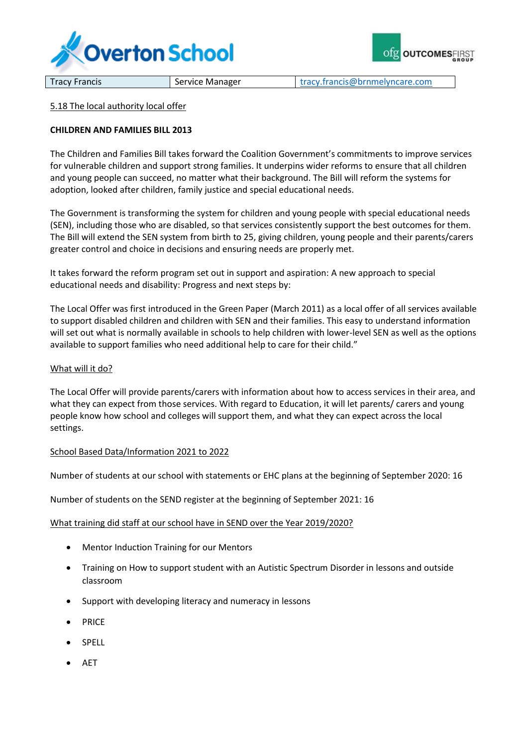



Tracy Francis **Service Manager** Tracy.francis@brnmelyncare.com

#### 5.18 The local authority local offer

#### **CHILDREN AND FAMILIES BILL 2013**

The Children and Families Bill takes forward the Coalition Government's commitments to improve services for vulnerable children and support strong families. It underpins wider reforms to ensure that all children and young people can succeed, no matter what their background. The Bill will reform the systems for adoption, looked after children, family justice and special educational needs.

The Government is transforming the system for children and young people with special educational needs (SEN), including those who are disabled, so that services consistently support the best outcomes for them. The Bill will extend the SEN system from birth to 25, giving children, young people and their parents/carers greater control and choice in decisions and ensuring needs are properly met.

It takes forward the reform program set out in support and aspiration: A new approach to special educational needs and disability: Progress and next steps by:

The Local Offer was first introduced in the Green Paper (March 2011) as a local offer of all services available to support disabled children and children with SEN and their families. This easy to understand information will set out what is normally available in schools to help children with lower-level SEN as well as the options available to support families who need additional help to care for their child."

#### What will it do?

The Local Offer will provide parents/carers with information about how to access services in their area, and what they can expect from those services. With regard to Education, it will let parents/ carers and young people know how school and colleges will support them, and what they can expect across the local settings.

#### School Based Data/Information 2021 to 2022

Number of students at our school with statements or EHC plans at the beginning of September 2020: 16

Number of students on the SEND register at the beginning of September 2021: 16

#### What training did staff at our school have in SEND over the Year 2019/2020?

- Mentor Induction Training for our Mentors
- Training on How to support student with an Autistic Spectrum Disorder in lessons and outside classroom
- Support with developing literacy and numeracy in lessons
- PRICE
- SPELL
- AET